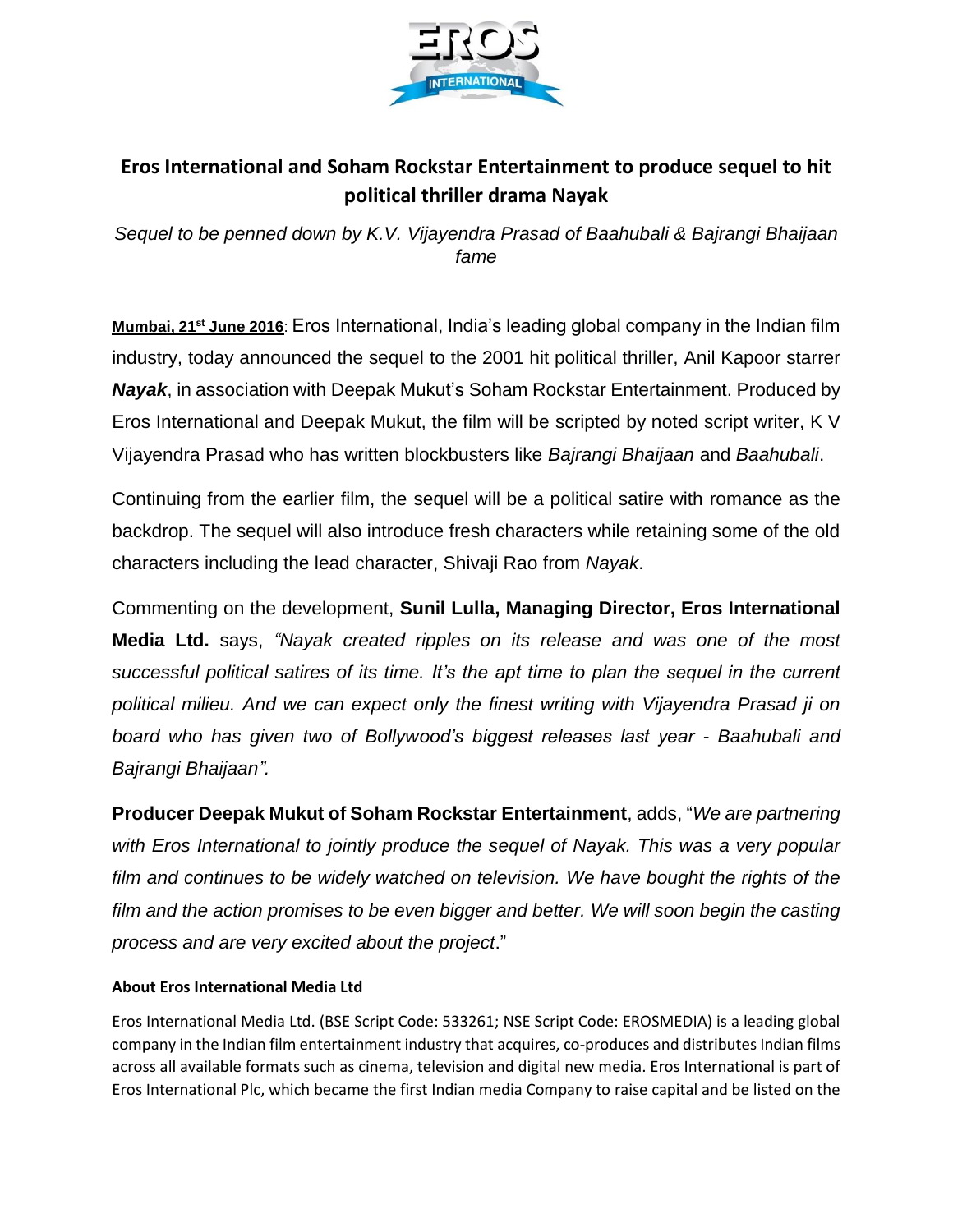

## **Eros International and Soham Rockstar Entertainment to produce sequel to hit political thriller drama Nayak**

*Sequel to be penned down by K.V. Vijayendra Prasad of Baahubali & Bajrangi Bhaijaan fame*

**Mumbai, 21st June 2016**: Eros International, India's leading global company in the Indian film industry, today announced the sequel to the 2001 hit political thriller, Anil Kapoor starrer *Nayak*, in association with Deepak Mukut's Soham Rockstar Entertainment. Produced by Eros International and Deepak Mukut, the film will be scripted by noted script writer, K V Vijayendra Prasad who has written blockbusters like *Bajrangi Bhaijaan* and *Baahubali*.

Continuing from the earlier film, the sequel will be a political satire with romance as the backdrop. The sequel will also introduce fresh characters while retaining some of the old characters including the lead character, Shivaji Rao from *Nayak*.

Commenting on the development, **Sunil Lulla, Managing Director, Eros International Media Ltd.** says, *"Nayak created ripples on its release and was one of the most successful political satires of its time. It's the apt time to plan the sequel in the current political milieu. And we can expect only the finest writing with Vijayendra Prasad ji on board who has given two of Bollywood's biggest releases last year - Baahubali and Bajrangi Bhaijaan".*

**Producer Deepak Mukut of Soham Rockstar Entertainment**, adds, "*We are partnering with Eros International to jointly produce the sequel of Nayak. This was a very popular film and continues to be widely watched on television. We have bought the rights of the film and the action promises to be even bigger and better. We will soon begin the casting process and are very excited about the project*."

## **About Eros International Media Ltd**

Eros International Media Ltd. (BSE Script Code: 533261; NSE Script Code: EROSMEDIA) is a leading global company in the Indian film entertainment industry that acquires, co-produces and distributes Indian films across all available formats such as cinema, television and digital new media. Eros International is part of Eros International Plc, which became the first Indian media Company to raise capital and be listed on the